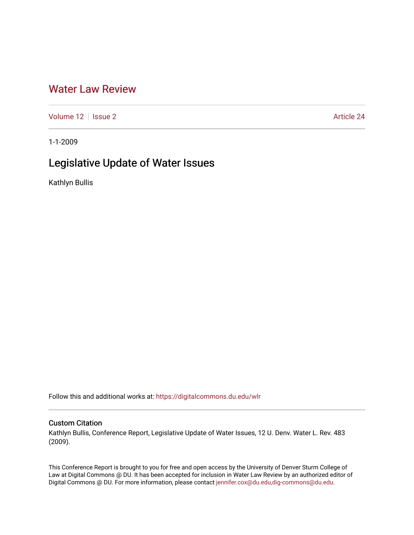## [Water Law Review](https://digitalcommons.du.edu/wlr)

[Volume 12](https://digitalcommons.du.edu/wlr/vol12) | [Issue 2](https://digitalcommons.du.edu/wlr/vol12/iss2) Article 24

1-1-2009

# Legislative Update of Water Issues

Kathlyn Bullis

Follow this and additional works at: [https://digitalcommons.du.edu/wlr](https://digitalcommons.du.edu/wlr?utm_source=digitalcommons.du.edu%2Fwlr%2Fvol12%2Fiss2%2F24&utm_medium=PDF&utm_campaign=PDFCoverPages) 

## Custom Citation

Kathlyn Bullis, Conference Report, Legislative Update of Water Issues, 12 U. Denv. Water L. Rev. 483 (2009).

This Conference Report is brought to you for free and open access by the University of Denver Sturm College of Law at Digital Commons @ DU. It has been accepted for inclusion in Water Law Review by an authorized editor of Digital Commons @ DU. For more information, please contact [jennifer.cox@du.edu,dig-commons@du.edu](mailto:jennifer.cox@du.edu,dig-commons@du.edu).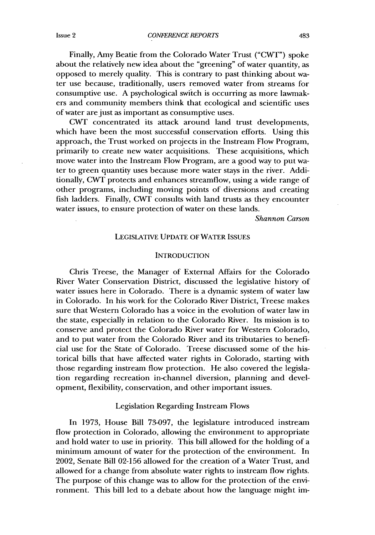*CONFERENCE REPORTS*

Finally, Amy Beatie from the Colorado Water Trust ("CWT") spoke about the relatively new idea about the "greening" of water quantity, as opposed to merely quality. This is contrary to past thinking about water use because, traditionally, users removed water from streams for consumptive use. A psychological switch is occurring as more lawmakers and community members think that ecological and scientific uses of water are just as important as consumptive uses.

CWT concentrated its attack around land trust developments, which have been the most successful conservation efforts. Using this approach, the Trust worked on projects in the Instream Flow Program, primarily to create new water acquisitions. These acquisitions, which move water into the Instream Flow Program, are a good way to put water to green quantity uses because more water stays in the river. Additionally, CWT protects and enhances streamflow, using a wide range of other programs, including moving points of diversions and creating fish ladders. Finally, CWT consults with land trusts as they encounter water issues, to ensure protection of water on these lands.

*Shannon Carson*

#### LEGISLATIVE UPDATE OF WATER ISSUES

#### **INTRODUCTION**

Chris Treese, the Manager of External Affairs for the Colorado River Water Conservation District, discussed the legislative history of water issues here in Colorado. There is a dynamic system of water law in Colorado. In his work for the Colorado River District, Treese makes sure that Western Colorado has a voice in the evolution of water law in the state, especially in relation to the Colorado River. Its mission is to conserve and protect the Colorado River water for Western Colorado, and to put water from the Colorado River and its tributaries to beneficial use for the State of Colorado. Treese discussed some of the historical bills that have affected water rights in Colorado, starting with those regarding instream flow protection. He also covered the legislation regarding recreation in-channel diversion, planning and development, flexibility, conservation, and other important issues.

#### Legislation Regarding Instream Flows

In 1973, House Bill 73-097, the legislature introduced instream flow protection in Colorado, allowing the environment to appropriate and hold water to use in priority. This bill allowed for the holding of a minimum amount of water for the protection of the environment. In 2002, Senate Bill 02-156 allowed for the creation of a Water Trust, and allowed for a change from absolute water rights to instream flow rights. The purpose of this change was to allow for the protection of the environment. This bill led to a debate about how the language might im-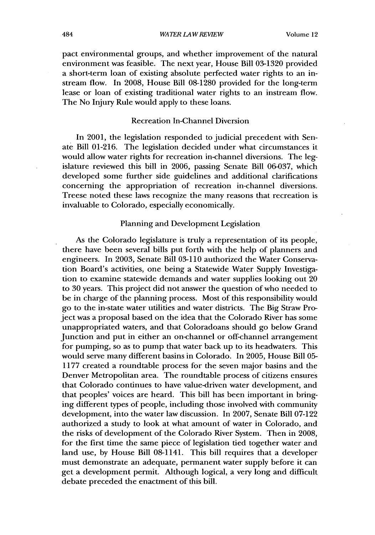pact environmental groups, and whether improvement of the natural environment was feasible. The next year, House Bill 03-1320 provided a short-term loan of existing absolute perfected water rights to an instream flow. In 2008, House Bill 08-1280 provided for the long-term lease or loan of existing traditional water rights to an instream flow. The No Injury Rule would apply to these loans.

## Recreation In-Channel Diversion

In 2001, the legislation responded to judicial precedent with Senate Bill 01-216. The legislation decided under what circumstances it would allow water rights for recreation in-channel diversions. The legislature reviewed this bill in 2006, passing Senate Bill 06-037, which developed some further side guidelines and additional clarifications concerning the appropriation of recreation in-channel diversions. Treese noted these laws recognize the many reasons that recreation is invaluable to Colorado, especially economically.

#### Planning and Development Legislation

As the Colorado legislature is truly a representation of its people, there have been several bills put forth with the help of planners and engineers. In 2003, Senate Bill 03-110 authorized the Water Conservation Board's activities, one being a Statewide Water Supply Investigation to examine statewide demands and water supplies looking out 20 to 30 years. This project did not answer the question of who needed to be in charge of the planning process. Most of this responsibility would go to the in-state water utilities and water districts. The Big Straw Project was a proposal based on the idea that the Colorado River has some unappropriated waters, and that Coloradoans should go below Grand Junction and put in either an on-channel or off-channel arrangement for pumping, so as to pump that water back up to its headwaters. This would serve many different basins in Colorado. In 2005, House Bill 05- 1177 created a roundtable process for the seven major basins and the Denver Metropolitan area. The roundtable process of citizens ensures that Colorado continues to have value-driven water development, and that peoples' voices are heard. This bill has been important in bringing different types of people, including those involved with community development, into the water law discussion. In 2007, Senate Bill 07-122 authorized a study to look at what amount of water in Colorado, and the risks of development of the Colorado River System. Then in 2008, for the first time the same piece of legislation tied together water and land use, by House Bill 08-1141. This bill requires that a developer must demonstrate an adequate, permanent water supply before it can get a development permit. Although logical, a very long and difficult debate preceded the enactment of this bill.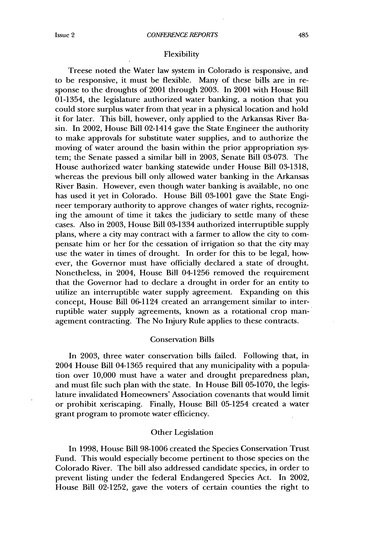#### Flexibility

Treese noted the Water law system in Colorado is responsive, and to be responsive, it must be flexible. Many of these bills are in response to the droughts of 2001 through 2003. In 2001 with House Bill 01-1354, the legislature authorized water banking, a notion that you could store surplus water from that year in a physical location and hold it for later. This bill, however, only applied to the Arkansas River Basin. In 2002, House Bill 02-1414 gave the State Engineer the authority to make approvals for substitute water supplies, and to authorize the moving of water around the basin within the prior appropriation system; the Senate passed a similar bill in 2003, Senate Bill 03-073. The House authorized water banking statewide under House Bill 03-1318, whereas the previous bill only allowed water banking in the Arkansas River Basin. However, even though water banking is available, no one has used it yet in Colorado. House Bill 03-1001 gave the State Engineer temporary authority to approve changes of water rights, recognizing the amount of time it takes the judiciary to settle many of these cases. Also in 2003, House Bill 03-1334 authorized interruptible supply plans, where a city may contract with a farmer to allow the city to compensate him or her for the cessation of irrigation so that the city may use the water in times of drought. In order for this to be legal, however, the Governor must have officially declared a state of drought. Nonetheless, in 2004, House Bill 04-1256 removed the requirement that the Governor had to declare a drought in order for an entity to utilize an interruptible water supply agreement. Expanding on this concept, House Bill 06-1124 created an arrangement similar to interruptible water supply agreements, known as a rotational crop management contracting. The No Injury Rule applies to these contracts.

#### Conservation Bills

In 2003, three water conservation bills failed. Following that, in 2004 House Bill 04-1365 required that any municipality with a population over 10,000 must have a water and drought preparedness plan, and must file such plan with the state. In House Bill 05-1070, the legislature invalidated Homeowners' Association covenants that would limit or prohibit xeriscaping. Finally, House Bill 05-1254 created a water grant program to promote water efficiency.

#### Other Legislation

In 1998, House Bill 98-1006 created the Species Conservation Trust Fund. This would especially become pertinent to those species on the Colorado River. The bill also addressed candidate species, in order to prevent listing under the federal Endangered Species Act. In 2002, House Bill 02-1252, gave the voters of certain counties the right to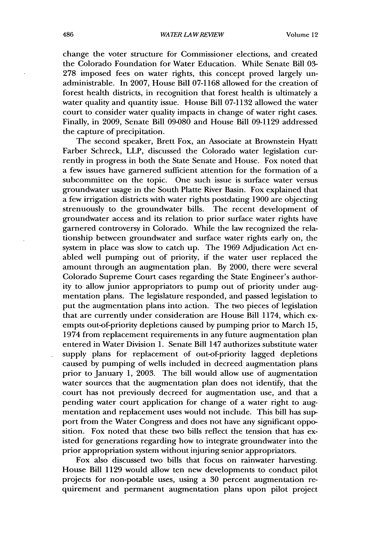change the voter structure for Commissioner elections, and created the Colorado Foundation for Water Education. While Senate Bill 03- 278 imposed fees on water rights, this concept proved largely unadministrable. In 2007, House Bill 07-1168 allowed for the creation of forest health districts, in recognition that forest health is ultimately a water quality and quantity issue. House Bill 07-1132 allowed the water court to consider water quality impacts in change of water right cases. Finally, in 2009, Senate Bill 09-080 and House Bill 09-1129 addressed the capture of precipitation.

The second speaker, Brett Fox, an Associate at Brownstein Hyatt Farber Schreck, LLP, discussed the Colorado water legislation currently in progress in both the State Senate and House. Fox noted that a few issues have garnered sufficient attention for the formation of a subcommittee on the topic. One such issue is surface water versus groundwater usage in the South Platte River Basin. Fox explained that a few irrigation districts with water rights postdating 1900 are objecting strenuously to the groundwater bills. The recent development of groundwater access and its relation to prior surface water rights have garnered controversy in Colorado. While the law recognized the relationship between groundwater and surface water rights early on, the system in place was slow to catch up. The 1969 Adjudication Act enabled well pumping out of priority, if the water user replaced the amount through an augmentation plan. By 2000, there were several Colorado Supreme Court cases regarding the State Engineer's authority to allow junior appropriators to pump out of priority under augmentation plans. The legislature responded, and passed legislation to put the augmentation plans into action. The two pieces of legislation that are currently under consideration are House Bill 1174, which exempts out-of-priority depletions caused by pumping prior to March 15, 1974 from replacement requirements in any future augmentation plan entered in Water Division 1. Senate Bill 147 authorizes substitute water supply plans for replacement of out-of-priority lagged depletions caused by pumping of wells included in decreed augmentation plans prior to January 1, 2003. The bill would allow use of augmentation water sources that the augmentation plan does not identify, that the court has not previously decreed for augmentation use, and that a pending water court application for change of a water right to augmentation and replacement uses would not include. This bill has support from the Water Congress and does not have any significant opposition. Fox noted that these two bills reflect the tension that has existed for generations regarding how to integrate groundwater into the prior appropriation system without injuring senior appropriators.

Fox also discussed two bills that focus on rainwater harvesting. House Bill 1129 would allow ten new developments to conduct pilot projects for non-potable uses, using a 30 percent augmentation requirement and permanent augmentation plans upon pilot project